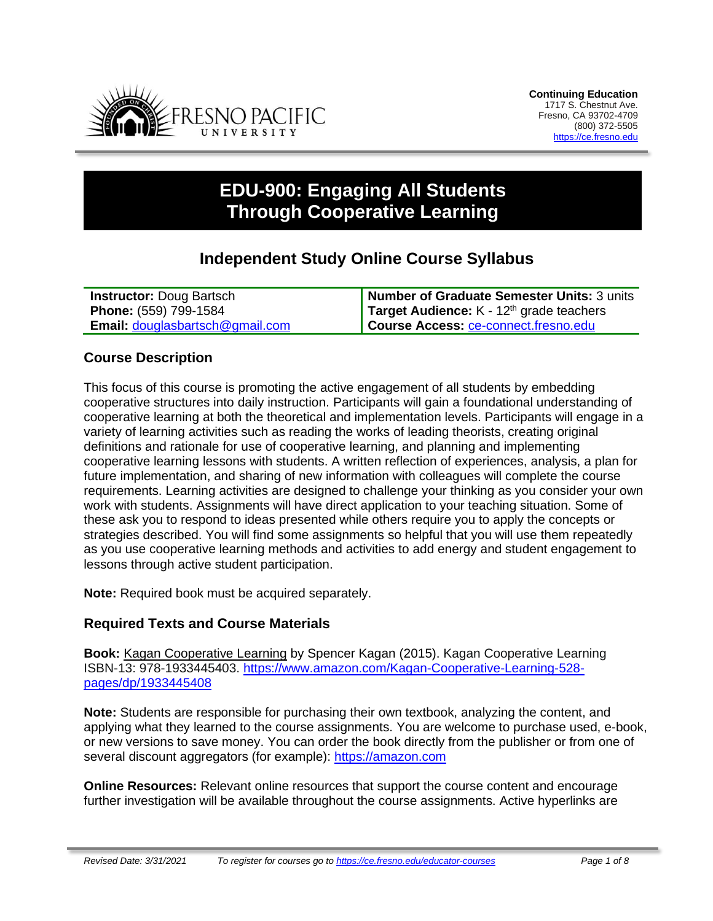

# **EDU-900: Engaging All Students Through Cooperative Learning**

## **Independent Study Online Course Syllabus**

| <b>Instructor: Doug Bartsch</b>        | Number of Graduate Semester Units: 3 units        |
|----------------------------------------|---------------------------------------------------|
| <b>Phone:</b> (559) 799-1584           | <b>Target Audience:</b> $K - 12th$ grade teachers |
| <b>Email:</b> douglasbartsch@gmail.com | <b>Course Access: ce-connect.fresno.edu</b>       |

## **Course Description**

This focus of this course is promoting the active engagement of all students by embedding cooperative structures into daily instruction. Participants will gain a foundational understanding of cooperative learning at both the theoretical and implementation levels. Participants will engage in a variety of learning activities such as reading the works of leading theorists, creating original definitions and rationale for use of cooperative learning, and planning and implementing cooperative learning lessons with students. A written reflection of experiences, analysis, a plan for future implementation, and sharing of new information with colleagues will complete the course requirements. Learning activities are designed to challenge your thinking as you consider your own work with students. Assignments will have direct application to your teaching situation. Some of these ask you to respond to ideas presented while others require you to apply the concepts or strategies described. You will find some assignments so helpful that you will use them repeatedly as you use cooperative learning methods and activities to add energy and student engagement to lessons through active student participation.

**Note:** Required book must be acquired separately.

## **Required Texts and Course Materials**

**Book:** Kagan Cooperative Learning by Spencer Kagan (2015). Kagan Cooperative Learning ISBN-13: 978-1933445403. [https://www.amazon.com/Kagan-Cooperative-Learning-528](https://www.amazon.com/Kagan-Cooperative-Learning-528-pages/dp/1933445408) [pages/dp/1933445408](https://www.amazon.com/Kagan-Cooperative-Learning-528-pages/dp/1933445408)

**Note:** Students are responsible for purchasing their own textbook, analyzing the content, and applying what they learned to the course assignments. You are welcome to purchase used, e-book, or new versions to save money. You can order the book directly from the publisher or from one of several discount aggregators (for example): [https://amazon.com](https://amazon.com/)

**Online Resources:** Relevant online resources that support the course content and encourage further investigation will be available throughout the course assignments. Active hyperlinks are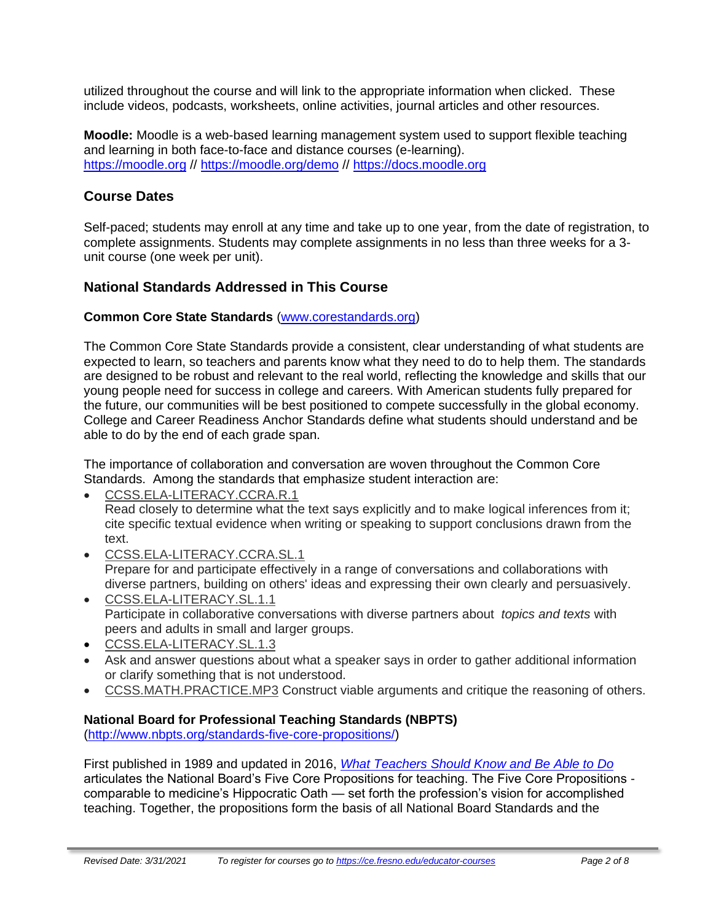utilized throughout the course and will link to the appropriate information when clicked. These include videos, podcasts, worksheets, online activities, journal articles and other resources.

**Moodle:** Moodle is a web-based learning management system used to support flexible teaching and learning in both face-to-face and distance courses (e-learning). [https://moodle.org](https://moodle.org/) // <https://moodle.org/demo> // [https://docs.moodle.org](https://docs.moodle.org/)

## **Course Dates**

Self-paced; students may enroll at any time and take up to one year, from the date of registration, to complete assignments. Students may complete assignments in no less than three weeks for a 3 unit course (one week per unit).

## **National Standards Addressed in This Course**

#### **Common Core State Standards** [\(www.corestandards.org\)](http://www.corestandards.org/)

The Common Core State Standards provide a consistent, clear understanding of what students are expected to learn, so teachers and parents know what they need to do to help them. The standards are designed to be robust and relevant to the real world, reflecting the knowledge and skills that our young people need for success in college and careers. With American students fully prepared for the future, our communities will be best positioned to compete successfully in the global economy. College and Career Readiness Anchor Standards define what students should understand and be able to do by the end of each grade span.

The importance of collaboration and conversation are woven throughout the Common Core Standards. Among the standards that emphasize student interaction are:

• [CCSS.ELA-LITERACY.CCRA.R.1](http://www.corestandards.org/ELA-Literacy/CCRA/R/1/)

Read closely to determine what the text says explicitly and to make logical inferences from it; cite specific textual evidence when writing or speaking to support conclusions drawn from the text.

- [CCSS.ELA-LITERACY.CCRA.SL.1](http://www.corestandards.org/ELA-Literacy/CCRA/SL/1/) Prepare for and participate effectively in a range of conversations and collaborations with diverse partners, building on others' ideas and expressing their own clearly and persuasively.
- [CCSS.ELA-LITERACY.SL.1.1](http://www.corestandards.org/ELA-Literacy/SL/1/1/) Participate in collaborative conversations with diverse partners about *topics and texts* with peers and adults in small and larger groups.
- [CCSS.ELA-LITERACY.SL.1.3](http://www.corestandards.org/ELA-Literacy/SL/1/3/)
- Ask and answer questions about what a speaker says in order to gather additional information or clarify something that is not understood.
- [CCSS.MATH.PRACTICE.MP3](http://www.corestandards.org/Math/Practice/MP3/) Construct viable arguments and critique the reasoning of others.

## **National Board for Professional Teaching Standards (NBPTS)**

[\(http://www.nbpts.org/standards-five-core-propositions/\)](http://www.nbpts.org/standards-five-core-propositions/)

First published in 1989 and updated in 2016, *[What Teachers Should Know and Be Able to Do](http://www.accomplishedteacher.org/)* articulates the National Board's Five Core Propositions for teaching. The Five Core Propositions comparable to medicine's Hippocratic Oath — set forth the profession's vision for accomplished teaching. Together, the propositions form the basis of all National Board Standards and the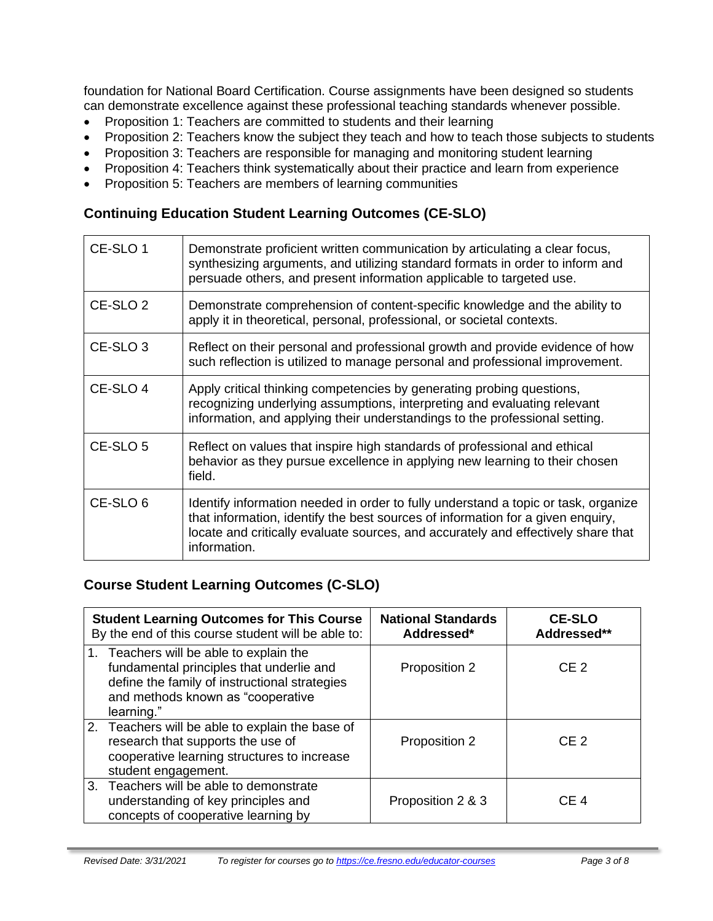foundation for National Board Certification. Course assignments have been designed so students can demonstrate excellence against these professional teaching standards whenever possible.

- Proposition 1: Teachers are committed to students and their learning
- Proposition 2: Teachers know the subject they teach and how to teach those subjects to students
- Proposition 3: Teachers are responsible for managing and monitoring student learning
- Proposition 4: Teachers think systematically about their practice and learn from experience
- Proposition 5: Teachers are members of learning communities

## **Continuing Education Student Learning Outcomes (CE-SLO)**

| CE-SLO 1            | Demonstrate proficient written communication by articulating a clear focus,<br>synthesizing arguments, and utilizing standard formats in order to inform and<br>persuade others, and present information applicable to targeted use.                                       |
|---------------------|----------------------------------------------------------------------------------------------------------------------------------------------------------------------------------------------------------------------------------------------------------------------------|
| CE-SLO <sub>2</sub> | Demonstrate comprehension of content-specific knowledge and the ability to<br>apply it in theoretical, personal, professional, or societal contexts.                                                                                                                       |
| CE-SLO <sub>3</sub> | Reflect on their personal and professional growth and provide evidence of how<br>such reflection is utilized to manage personal and professional improvement.                                                                                                              |
| CE-SLO 4            | Apply critical thinking competencies by generating probing questions,<br>recognizing underlying assumptions, interpreting and evaluating relevant<br>information, and applying their understandings to the professional setting.                                           |
| CE-SLO 5            | Reflect on values that inspire high standards of professional and ethical<br>behavior as they pursue excellence in applying new learning to their chosen<br>field.                                                                                                         |
| CE-SLO 6            | Identify information needed in order to fully understand a topic or task, organize<br>that information, identify the best sources of information for a given enquiry,<br>locate and critically evaluate sources, and accurately and effectively share that<br>information. |

## **Course Student Learning Outcomes (C-SLO)**

| <b>Student Learning Outcomes for This Course</b><br>By the end of this course student will be able to:                                                                                  | <b>National Standards</b><br>Addressed* | <b>CE-SLO</b><br>Addressed** |
|-----------------------------------------------------------------------------------------------------------------------------------------------------------------------------------------|-----------------------------------------|------------------------------|
| 1. Teachers will be able to explain the<br>fundamental principles that underlie and<br>define the family of instructional strategies<br>and methods known as "cooperative<br>learning." | Proposition 2                           | CF <sub>2</sub>              |
| 2. Teachers will be able to explain the base of<br>research that supports the use of<br>cooperative learning structures to increase<br>student engagement.                              | Proposition 2                           | CF <sub>2</sub>              |
| 3. Teachers will be able to demonstrate<br>understanding of key principles and<br>concepts of cooperative learning by                                                                   | Proposition 2 & 3                       | CE <sub>4</sub>              |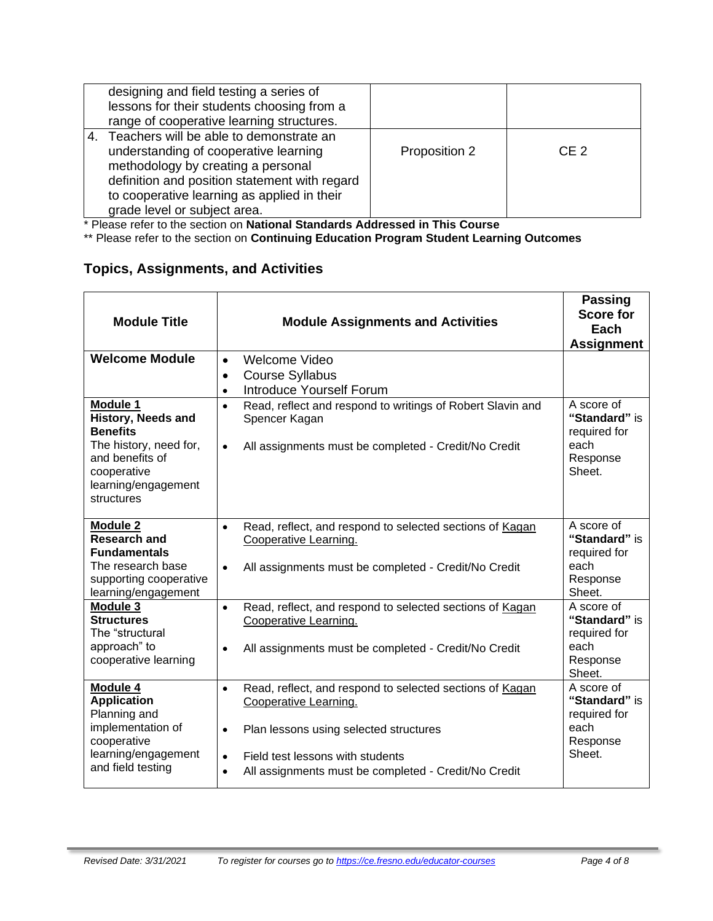| designing and field testing a series of<br>lessons for their students choosing from a<br>range of cooperative learning structures.                                                                                                                        |               |                 |
|-----------------------------------------------------------------------------------------------------------------------------------------------------------------------------------------------------------------------------------------------------------|---------------|-----------------|
| 4. Teachers will be able to demonstrate an<br>understanding of cooperative learning<br>methodology by creating a personal<br>definition and position statement with regard<br>to cooperative learning as applied in their<br>grade level or subject area. | Proposition 2 | CF <sub>2</sub> |

\* Please refer to the section on **National Standards Addressed in This Course**

\*\* Please refer to the section on **Continuing Education Program Student Learning Outcomes**

## **Topics, Assignments, and Activities**

| <b>Module Title</b>                                                                                                                                       | <b>Module Assignments and Activities</b>                                                                                                                                                                                                                                    | <b>Passing</b><br><b>Score for</b><br>Each<br><b>Assignment</b>           |
|-----------------------------------------------------------------------------------------------------------------------------------------------------------|-----------------------------------------------------------------------------------------------------------------------------------------------------------------------------------------------------------------------------------------------------------------------------|---------------------------------------------------------------------------|
| <b>Welcome Module</b>                                                                                                                                     | Welcome Video<br>$\bullet$<br><b>Course Syllabus</b><br>$\bullet$<br><b>Introduce Yourself Forum</b><br>$\bullet$                                                                                                                                                           |                                                                           |
| Module 1<br><b>History, Needs and</b><br><b>Benefits</b><br>The history, need for,<br>and benefits of<br>cooperative<br>learning/engagement<br>structures | Read, reflect and respond to writings of Robert Slavin and<br>$\bullet$<br>Spencer Kagan<br>All assignments must be completed - Credit/No Credit<br>$\bullet$                                                                                                               | A score of<br>"Standard" is<br>required for<br>each<br>Response<br>Sheet. |
| <b>Module 2</b><br><b>Research and</b><br><b>Fundamentals</b><br>The research base<br>supporting cooperative<br>learning/engagement                       | Read, reflect, and respond to selected sections of Kagan<br>$\bullet$<br>Cooperative Learning.<br>All assignments must be completed - Credit/No Credit<br>$\bullet$                                                                                                         | A score of<br>"Standard" is<br>required for<br>each<br>Response<br>Sheet. |
| Module 3<br><b>Structures</b><br>The "structural<br>approach" to<br>cooperative learning                                                                  | Read, reflect, and respond to selected sections of Kagan<br>$\bullet$<br>Cooperative Learning.<br>All assignments must be completed - Credit/No Credit<br>$\bullet$                                                                                                         | A score of<br>"Standard" is<br>required for<br>each<br>Response<br>Sheet. |
| Module 4<br><b>Application</b><br>Planning and<br>implementation of<br>cooperative<br>learning/engagement<br>and field testing                            | Read, reflect, and respond to selected sections of Kagan<br>$\bullet$<br>Cooperative Learning.<br>Plan lessons using selected structures<br>$\bullet$<br>Field test lessons with students<br>$\bullet$<br>All assignments must be completed - Credit/No Credit<br>$\bullet$ | A score of<br>"Standard" is<br>required for<br>each<br>Response<br>Sheet. |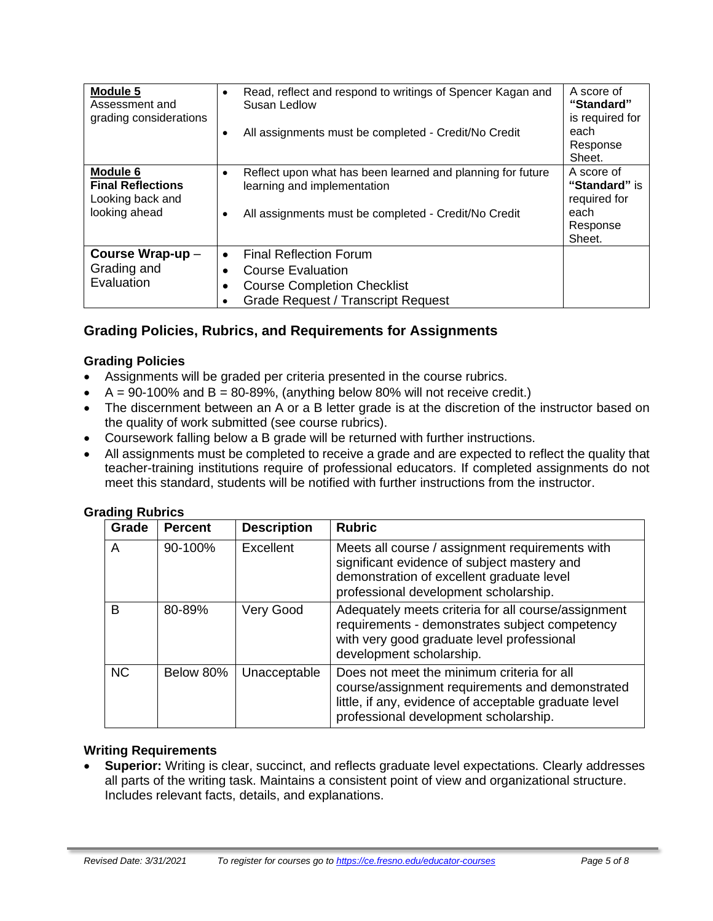| Module 5<br>Assessment and<br>grading considerations                      | Read, reflect and respond to writings of Spencer Kagan and<br>$\bullet$<br>Susan Ledlow<br>All assignments must be completed - Credit/No Credit<br>٠      | A score of<br>"Standard"<br>is required for<br>each<br>Response<br>Sheet. |
|---------------------------------------------------------------------------|-----------------------------------------------------------------------------------------------------------------------------------------------------------|---------------------------------------------------------------------------|
| Module 6<br><b>Final Reflections</b><br>Looking back and<br>looking ahead | Reflect upon what has been learned and planning for future<br>learning and implementation<br>All assignments must be completed - Credit/No Credit         | A score of<br>"Standard" is<br>required for<br>each<br>Response<br>Sheet. |
| Course Wrap-up -<br>Grading and<br>Evaluation                             | <b>Final Reflection Forum</b><br>$\bullet$<br><b>Course Evaluation</b><br><b>Course Completion Checklist</b><br><b>Grade Request / Transcript Request</b> |                                                                           |

## **Grading Policies, Rubrics, and Requirements for Assignments**

#### **Grading Policies**

- Assignments will be graded per criteria presented in the course rubrics.
- $A = 90-100\%$  and  $B = 80-89\%$ , (anything below 80% will not receive credit.)
- The discernment between an A or a B letter grade is at the discretion of the instructor based on the quality of work submitted (see course rubrics).
- Coursework falling below a B grade will be returned with further instructions.
- All assignments must be completed to receive a grade and are expected to reflect the quality that teacher-training institutions require of professional educators. If completed assignments do not meet this standard, students will be notified with further instructions from the instructor.

#### **Grading Rubrics**

| .<br>Grade | <b>Percent</b> | <b>Description</b> | <b>Rubric</b>                                                                                                                                                                                   |
|------------|----------------|--------------------|-------------------------------------------------------------------------------------------------------------------------------------------------------------------------------------------------|
| A          | 90-100%        | Excellent          | Meets all course / assignment requirements with<br>significant evidence of subject mastery and<br>demonstration of excellent graduate level<br>professional development scholarship.            |
| B          | 80-89%         | Very Good          | Adequately meets criteria for all course/assignment<br>requirements - demonstrates subject competency<br>with very good graduate level professional<br>development scholarship.                 |
| <b>NC</b>  | Below 80%      | Unacceptable       | Does not meet the minimum criteria for all<br>course/assignment requirements and demonstrated<br>little, if any, evidence of acceptable graduate level<br>professional development scholarship. |

#### **Writing Requirements**

• **Superior:** Writing is clear, succinct, and reflects graduate level expectations. Clearly addresses all parts of the writing task. Maintains a consistent point of view and organizational structure. Includes relevant facts, details, and explanations.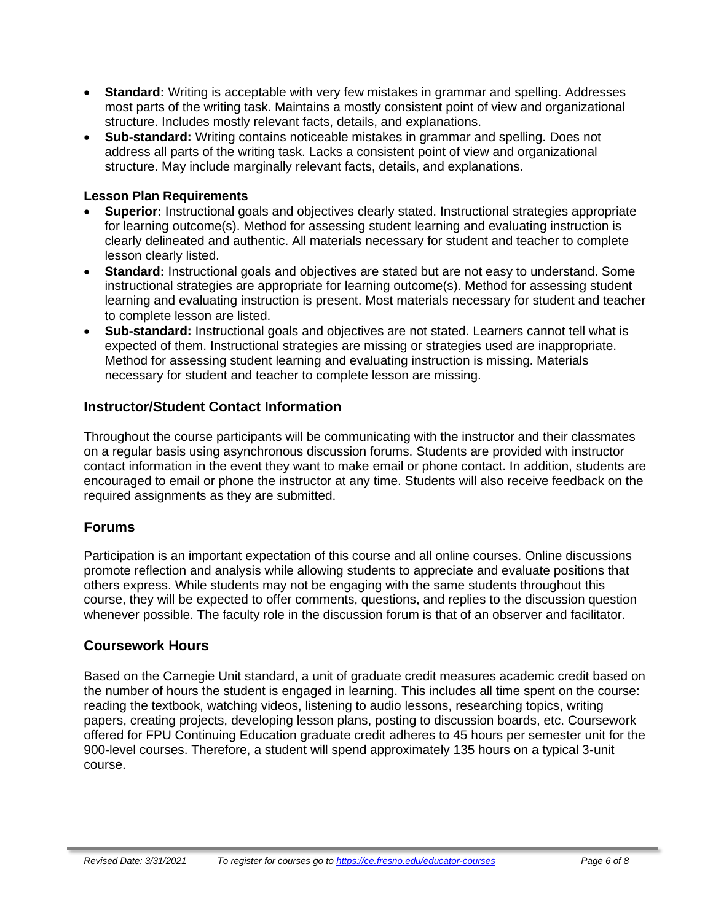- **Standard:** Writing is acceptable with very few mistakes in grammar and spelling. Addresses most parts of the writing task. Maintains a mostly consistent point of view and organizational structure. Includes mostly relevant facts, details, and explanations.
- **Sub-standard:** Writing contains noticeable mistakes in grammar and spelling. Does not address all parts of the writing task. Lacks a consistent point of view and organizational structure. May include marginally relevant facts, details, and explanations.

#### **Lesson Plan Requirements**

- **Superior:** Instructional goals and objectives clearly stated. Instructional strategies appropriate for learning outcome(s). Method for assessing student learning and evaluating instruction is clearly delineated and authentic. All materials necessary for student and teacher to complete lesson clearly listed.
- **Standard:** Instructional goals and objectives are stated but are not easy to understand. Some instructional strategies are appropriate for learning outcome(s). Method for assessing student learning and evaluating instruction is present. Most materials necessary for student and teacher to complete lesson are listed.
- **Sub-standard:** Instructional goals and objectives are not stated. Learners cannot tell what is expected of them. Instructional strategies are missing or strategies used are inappropriate. Method for assessing student learning and evaluating instruction is missing. Materials necessary for student and teacher to complete lesson are missing.

#### **Instructor/Student Contact Information**

Throughout the course participants will be communicating with the instructor and their classmates on a regular basis using asynchronous discussion forums. Students are provided with instructor contact information in the event they want to make email or phone contact. In addition, students are encouraged to email or phone the instructor at any time. Students will also receive feedback on the required assignments as they are submitted.

## **Forums**

Participation is an important expectation of this course and all online courses. Online discussions promote reflection and analysis while allowing students to appreciate and evaluate positions that others express. While students may not be engaging with the same students throughout this course, they will be expected to offer comments, questions, and replies to the discussion question whenever possible. The faculty role in the discussion forum is that of an observer and facilitator.

#### **Coursework Hours**

Based on the Carnegie Unit standard, a unit of graduate credit measures academic credit based on the number of hours the student is engaged in learning. This includes all time spent on the course: reading the textbook, watching videos, listening to audio lessons, researching topics, writing papers, creating projects, developing lesson plans, posting to discussion boards, etc. Coursework offered for FPU Continuing Education graduate credit adheres to 45 hours per semester unit for the 900-level courses. Therefore, a student will spend approximately 135 hours on a typical 3-unit course.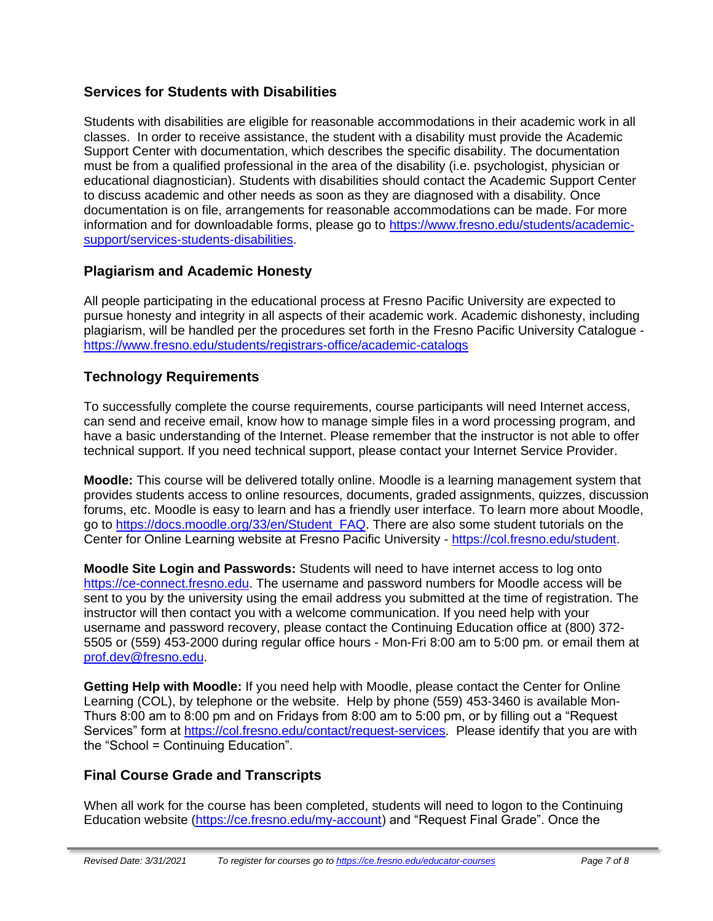## **Services for Students with Disabilities**

Students with disabilities are eligible for reasonable accommodations in their academic work in all classes. In order to receive assistance, the student with a disability must provide the Academic Support Center with documentation, which describes the specific disability. The documentation must be from a qualified professional in the area of the disability (i.e. psychologist, physician or educational diagnostician). Students with disabilities should contact the Academic Support Center to discuss academic and other needs as soon as they are diagnosed with a disability. Once documentation is on file, arrangements for reasonable accommodations can be made. For more information and for downloadable forms, please go to [https://www.fresno.edu/students/academic](https://www.fresno.edu/students/academic-support/services-students-disabilities)[support/services-students-disabilities.](https://www.fresno.edu/students/academic-support/services-students-disabilities)

## **Plagiarism and Academic Honesty**

All people participating in the educational process at Fresno Pacific University are expected to pursue honesty and integrity in all aspects of their academic work. Academic dishonesty, including plagiarism, will be handled per the procedures set forth in the Fresno Pacific University Catalogue <https://www.fresno.edu/students/registrars-office/academic-catalogs>

## **Technology Requirements**

To successfully complete the course requirements, course participants will need Internet access, can send and receive email, know how to manage simple files in a word processing program, and have a basic understanding of the Internet. Please remember that the instructor is not able to offer technical support. If you need technical support, please contact your Internet Service Provider.

**Moodle:** This course will be delivered totally online. Moodle is a learning management system that provides students access to online resources, documents, graded assignments, quizzes, discussion forums, etc. Moodle is easy to learn and has a friendly user interface. To learn more about Moodle, go to [https://docs.moodle.org/33/en/Student\\_FAQ.](https://docs.moodle.org/33/en/Student_FAQ) There are also some student tutorials on the Center for Online Learning website at Fresno Pacific University - [https://col.fresno.edu/student.](https://col.fresno.edu/student)

**Moodle Site Login and Passwords:** Students will need to have internet access to log onto [https://ce-connect.fresno.edu.](https://ce-connect.fresno.edu/) The username and password numbers for Moodle access will be sent to you by the university using the email address you submitted at the time of registration. The instructor will then contact you with a welcome communication. If you need help with your username and password recovery, please contact the Continuing Education office at (800) 372- 5505 or (559) 453-2000 during regular office hours - Mon-Fri 8:00 am to 5:00 pm. or email them at [prof.dev@fresno.edu.](mailto:prof.dev@fresno.edu)

**Getting Help with Moodle:** If you need help with Moodle, please contact the Center for Online Learning (COL), by telephone or the website. Help by phone (559) 453-3460 is available Mon-Thurs 8:00 am to 8:00 pm and on Fridays from 8:00 am to 5:00 pm, or by filling out a "Request Services" form at [https://col.fresno.edu/contact/request-services.](https://col.fresno.edu/contact/request-services) Please identify that you are with the "School = Continuing Education".

## **Final Course Grade and Transcripts**

When all work for the course has been completed, students will need to logon to the Continuing Education website [\(https://ce.fresno.edu/my-account\)](https://ce.fresno.edu/my-account) and "Request Final Grade". Once the